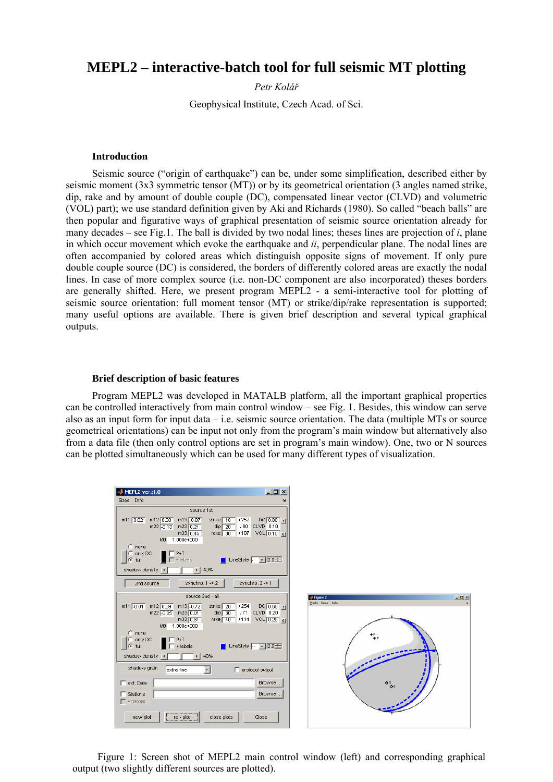# **MEPL2 – interactive-batch tool for full seismic MT plotting**

*Petr Kolář*

Geophysical Institute, Czech Acad. of Sci.

### **Introduction**

Seismic source ("origin of earthquake") can be, under some simplification, described either by seismic moment (3x3 symmetric tensor (MT)) or by its geometrical orientation (3 angles named strike, dip, rake and by amount of double couple (DC), compensated linear vector (CLVD) and volumetric (VOL) part); we use standard definition given by Aki and Richards (1980). So called "beach balls" are then popular and figurative ways of graphical presentation of seismic source orientation already for many decades – see Fig.1. The ball is divided by two nodal lines; theses lines are projection of *i*, plane in which occur movement which evoke the earthquake and *ii*, perpendicular plane. The nodal lines are often accompanied by colored areas which distinguish opposite signs of movement. If only pure double couple source (DC) is considered, the borders of differently colored areas are exactly the nodal lines. In case of more complex source (i.e. non-DC component are also incorporated) theses borders are generally shifted. Here, we present program MEPL2 - a semi-interactive tool for plotting of seismic source orientation: full moment tensor (MT) or strike/dip/rake representation is supported; many useful options are available. There is given brief description and several typical graphical outputs.

#### **Brief description of basic features**

Program MEPL2 was developed in MATALB platform, all the important graphical properties can be controlled interactively from main control window – see Fig. 1. Besides, this window can serve also as an input form for input data – i.e. seismic source orientation. The data (multiple MTs or source geometrical orientations) can be input not only from the program's main window but alternatively also from a data file (then only control options are set in program's main window). One, two or N sources can be plotted simultaneously which can be used for many different types of visualization.

| <b>MEPL2 ver.:1.0</b><br>Sizes Info                                                                                                                | $-121 \times$                                                       |                                                   |
|----------------------------------------------------------------------------------------------------------------------------------------------------|---------------------------------------------------------------------|---------------------------------------------------|
|                                                                                                                                                    |                                                                     |                                                   |
| source 1st                                                                                                                                         |                                                                     |                                                   |
| $m12$ 0.30<br>m13 -0.87<br>$m11$ $0.02$<br>strike 10<br>$m22$ -0.13<br>$m23$ 0.21<br>dip $\sqrt{20}$<br>rake 30 / 107<br>m33 0.45<br>M0 1.000e+000 | $DC$ $0.80$ $1$<br>1252<br>/ 80 CLVD 0.10<br>VOL 0.10 0             |                                                   |
| $C$ none<br>$\bigcirc$ only DC<br>$\blacksquare$ $\blacksquare$ P+T<br>$\Gamma$ + labels<br>$C$ full                                               | $\Box$ LineStyle $\Box$ 2.0                                         |                                                   |
| shadow density 4<br>40%<br>$\rightarrow$                                                                                                           |                                                                     |                                                   |
| 2nd source<br>synchro. $1 \gg 2$                                                                                                                   | synchro. 2 -> 1                                                     |                                                   |
| source 2nd - all                                                                                                                                   |                                                                     | $\Box$ DIXI<br><b>J</b> Figure 2                  |
| m11 -0.01<br>$m12$ 0.39<br>$m13$ -0.72<br>strike $\boxed{20}$<br>dip $\sqrt{30}$<br>m22 -0.05<br>$m23$ 0.01<br>m33 0.81<br>M0 1.000e+000           | $DC[0.60]_{11}$<br>1254<br>/71 CLVD 0.20<br>rake 40 /114 VOL 0.20 0 | Prints Sizes Info                                 |
| $\bigcirc$ none<br>$\bigcirc$ only DC<br>$\blacksquare$ $\blacksquare$ P+T<br>$C$ full<br>$+$ labels                                               | $\blacksquare$ LineStyle $\lceil \cdot \rceil$ 2.0                  |                                                   |
| 40%<br>shadow density 4<br>$\blacktriangleright$                                                                                                   |                                                                     |                                                   |
| shadow grain<br>extra fine                                                                                                                         | $\Box$ protocol output                                              |                                                   |
| $\Box$ ext. Data                                                                                                                                   | Browse                                                              | $\mathbf{e}^{\mathsf{T}}_{\mathbf{Q} \mathsf{T}}$ |
| $\Box$ Stations<br>$\Gamma$ + names                                                                                                                | Browse                                                              |                                                   |
| re - plot<br>new plot<br>close plots                                                                                                               | Close                                                               |                                                   |

Figure 1: Screen shot of MEPL2 main control window (left) and corresponding graphical output (two slightly different sources are plotted).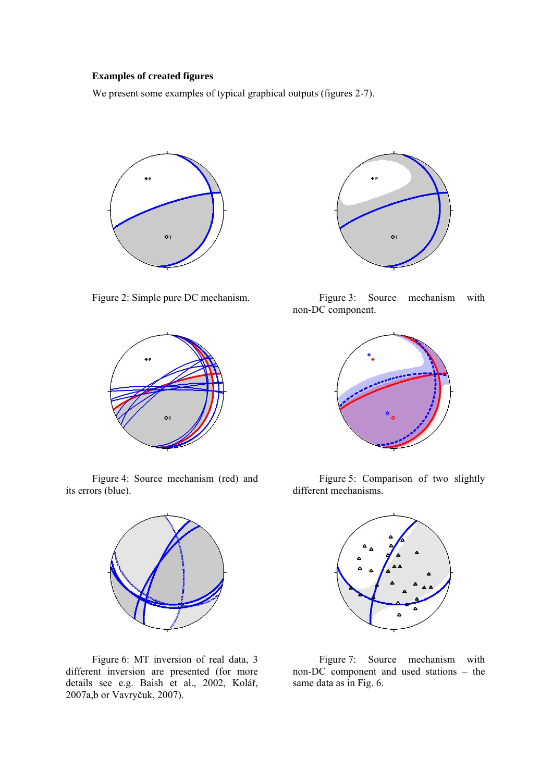# **Examples of created figures**

We present some examples of typical graphical outputs (figures 2-7).





Figure 4: Source mechanism (red) and its errors (blue).



Figure 6: MT inversion of real data, 3 different inversion are presented (for more details see e.g. Baish et al., 2002, Kolář, 2007a,b or Vavryčuk, 2007).



Figure 2: Simple pure DC mechanism. Figure 3: Source mechanism with non-DC component.



Figure 5: Comparison of two slightly different mechanisms.



Figure 7: Source mechanism with non-DC component and used stations – the same data as in Fig. 6.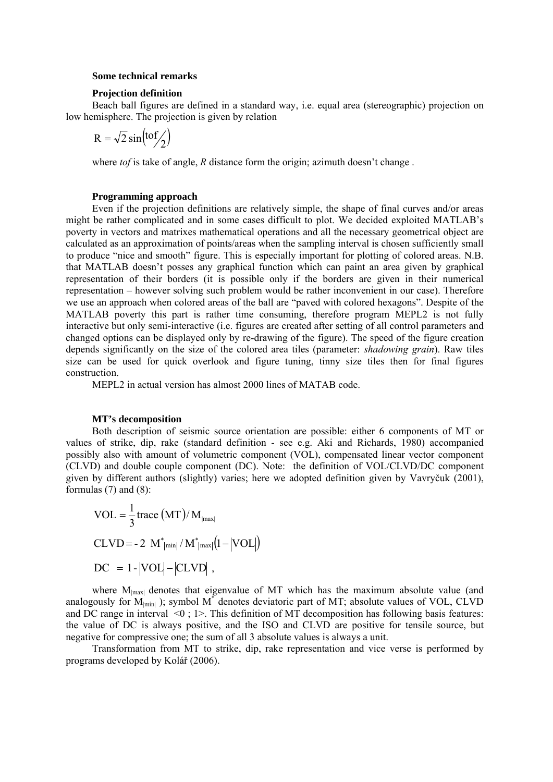## **Some technical remarks**

#### **Projection definition**

Beach ball figures are defined in a standard way, i.e. equal area (stereographic) projection on low hemisphere. The projection is given by relation

$$
R = \sqrt{2} \sin(t \frac{\pi f}{2})
$$

where *tof* is take of angle, *R* distance form the origin; azimuth doesn't change.

### **Programming approach**

Even if the projection definitions are relatively simple, the shape of final curves and/or areas might be rather complicated and in some cases difficult to plot. We decided exploited MATLAB's poverty in vectors and matrixes mathematical operations and all the necessary geometrical object are calculated as an approximation of points/areas when the sampling interval is chosen sufficiently small to produce "nice and smooth" figure. This is especially important for plotting of colored areas. N.B. that MATLAB doesn't posses any graphical function which can paint an area given by graphical representation of their borders (it is possible only if the borders are given in their numerical representation – however solving such problem would be rather inconvenient in our case). Therefore we use an approach when colored areas of the ball are "paved with colored hexagons". Despite of the MATLAB poverty this part is rather time consuming, therefore program MEPL2 is not fully interactive but only semi-interactive (i.e. figures are created after setting of all control parameters and changed options can be displayed only by re-drawing of the figure). The speed of the figure creation depends significantly on the size of the colored area tiles (parameter: *shadowing grain*). Raw tiles size can be used for quick overlook and figure tuning, tinny size tiles then for final figures construction.

MEPL2 in actual version has almost 2000 lines of MATAB code.

#### **MT's decomposition**

Both description of seismic source orientation are possible: either 6 components of MT or values of strike, dip, rake (standard definition - see e.g. Aki and Richards, 1980) accompanied possibly also with amount of volumetric component (VOL), compensated linear vector component (CLVD) and double couple component (DC). Note: the definition of VOL/CLVD/DC component given by different authors (slightly) varies; here we adopted definition given by Vavryčuk (2001), formulas  $(7)$  and  $(8)$ :

$$
VOL = \frac{1}{3} \text{trace (MT)/M}_{\text{max}}
$$
  
CLVD = -2 M<sup>\*</sup><sub>|min</sub> / M<sup>\*</sup><sub>|max</sub> (1-|VOL|)  
DC = 1-|VOL|-|CLVD|,

where M<sub>|max|</sub> denotes that eigenvalue of MT which has the maximum absolute value (and analogously for  $M_{\text{min}}$ ); symbol  $M^*$  denotes deviatoric part of MT; absolute values of VOL, CLVD and DC range in interval  $\leq 0$ ; 1>. This definition of MT decomposition has following basis features: the value of DC is always positive, and the ISO and CLVD are positive for tensile source, but negative for compressive one; the sum of all 3 absolute values is always a unit.

Transformation from MT to strike, dip, rake representation and vice verse is performed by programs developed by Kolář (2006).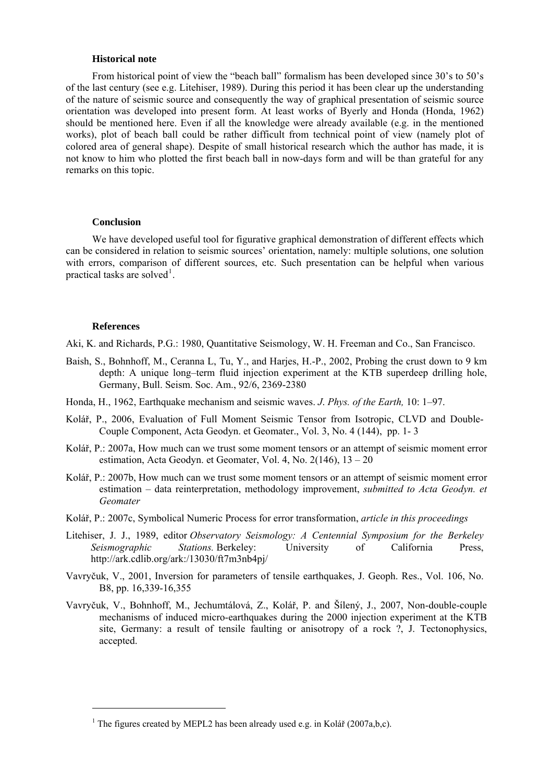#### **Historical note**

From historical point of view the "beach ball" formalism has been developed since 30's to 50's of the last century (see e.g. Litehiser, 1989). During this period it has been clear up the understanding of the nature of seismic source and consequently the way of graphical presentation of seismic source orientation was developed into present form. At least works of Byerly and Honda (Honda, 1962) should be mentioned here. Even if all the knowledge were already available (e.g. in the mentioned works), plot of beach ball could be rather difficult from technical point of view (namely plot of colored area of general shape). Despite of small historical research which the author has made, it is not know to him who plotted the first beach ball in now-days form and will be than grateful for any remarks on this topic.

#### **Conclusion**

We have developed useful tool for figurative graphical demonstration of different effects which can be considered in relation to seismic sources' orientation, namely: multiple solutions, one solution with errors, comparison of different sources, etc. Such presentation can be helpful when various practical tasks are solved<sup>[1](#page-3-0)</sup>.

#### **References**

-

Aki, K. and Richards, P.G.: 1980, Quantitative Seismology, W. H. Freeman and Co., San Francisco.

- Baish, S., Bohnhoff, M., Ceranna L, Tu, Y., and Harjes, H.-P., 2002, Probing the crust down to 9 km depth: A unique long–term fluid injection experiment at the KTB superdeep drilling hole, Germany, Bull. Seism. Soc. Am., 92/6, 2369-2380
- Honda, H., 1962, Earthquake mechanism and seismic waves. *J*. *Phys. of the Earth,* 10: 1–97.
- Kolář, P., 2006, Evaluation of Full Moment Seismic Tensor from Isotropic, CLVD and Double-Couple Component, Acta Geodyn. et Geomater., Vol. 3, No. 4 (144), pp. 1- 3
- Kolář, P.: 2007a, How much can we trust some moment tensors or an attempt of seismic moment error estimation, Acta Geodyn. et Geomater, Vol. 4, No. 2(146), 13 – 20
- Kolář, P.: 2007b, How much can we trust some moment tensors or an attempt of seismic moment error estimation – data reinterpretation, methodology improvement, *submitted to Acta Geodyn. et Geomater*
- Kolář, P.: 2007c, Symbolical Numeric Process for error transformation, *article in this proceedings*
- Litehiser, J. J., 1989, editor *Observatory Seismology: A Centennial Symposium for the Berkeley Seismographic Stations.* Berkeley: University of California Press, http://ark.cdlib.org/ark:/13030/ft7m3nb4pj/
- Vavryčuk, V., 2001, Inversion for parameters of tensile earthquakes, J. Geoph. Res., Vol. 106, No. B8, pp. 16,339-16,355
- Vavryčuk, V., Bohnhoff, M., Jechumtálová, Z., Kolář, P. and Šílený, J., 2007, Non-double-couple mechanisms of induced micro-earthquakes during the 2000 injection experiment at the KTB site, Germany: a result of tensile faulting or anisotropy of a rock ?, J. Tectonophysics, accepted.

<span id="page-3-0"></span><sup>&</sup>lt;sup>1</sup> The figures created by MEPL2 has been already used e.g. in Kolář (2007a,b,c).